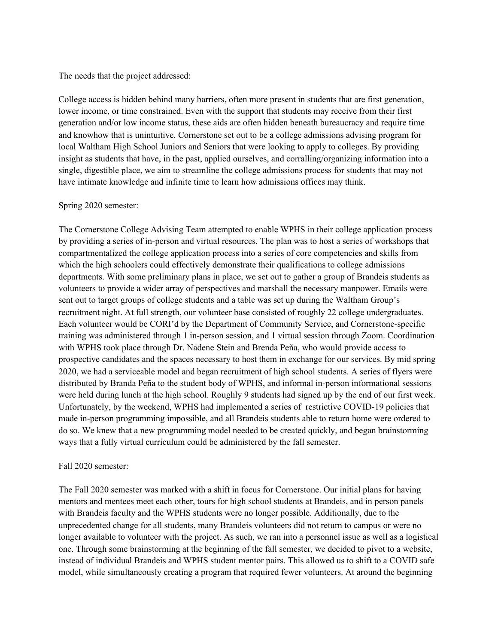The needs that the project addressed:

College access is hidden behind many barriers, often more present in students that are first generation, lower income, or time constrained. Even with the support that students may receive from their first generation and/or low income status, these aids are often hidden beneath bureaucracy and require time and knowhow that is unintuitive. Cornerstone set out to be a college admissions advising program for local Waltham High School Juniors and Seniors that were looking to apply to colleges. By providing insight as students that have, in the past, applied ourselves, and corralling/organizing information into a single, digestible place, we aim to streamline the college admissions process for students that may not have intimate knowledge and infinite time to learn how admissions offices may think.

## Spring 2020 semester:

The Cornerstone College Advising Team attempted to enable WPHS in their college application process by providing a series of in-person and virtual resources. The plan was to host a series of workshops that compartmentalized the college application process into a series of core competencies and skills from which the high schoolers could effectively demonstrate their qualifications to college admissions departments. With some preliminary plans in place, we set out to gather a group of Brandeis students as volunteers to provide a wider array of perspectives and marshall the necessary manpower. Emails were sent out to target groups of college students and a table was set up during the Waltham Group's recruitment night. At full strength, our volunteer base consisted of roughly 22 college undergraduates. Each volunteer would be CORI'd by the Department of Community Service, and Cornerstone-specific training was administered through 1 in-person session, and 1 virtual session through Zoom. Coordination with WPHS took place through Dr. Nadene Stein and Brenda Peña, who would provide access to prospective candidates and the spaces necessary to host them in exchange for our services. By mid spring 2020, we had a serviceable model and began recruitment of high school students. A series of flyers were distributed by Branda Peña to the student body of WPHS, and informal in-person informational sessions were held during lunch at the high school. Roughly 9 students had signed up by the end of our first week. Unfortunately, by the weekend, WPHS had implemented a series of restrictive COVID-19 policies that made in-person programming impossible, and all Brandeis students able to return home were ordered to do so. We knew that a new programming model needed to be created quickly, and began brainstorming ways that a fully virtual curriculum could be administered by the fall semester.

## Fall 2020 semester:

The Fall 2020 semester was marked with a shift in focus for Cornerstone. Our initial plans for having mentors and mentees meet each other, tours for high school students at Brandeis, and in person panels with Brandeis faculty and the WPHS students were no longer possible. Additionally, due to the unprecedented change for all students, many Brandeis volunteers did not return to campus or were no longer available to volunteer with the project. As such, we ran into a personnel issue as well as a logistical one. Through some brainstorming at the beginning of the fall semester, we decided to pivot to a website, instead of individual Brandeis and WPHS student mentor pairs. This allowed us to shift to a COVID safe model, while simultaneously creating a program that required fewer volunteers. At around the beginning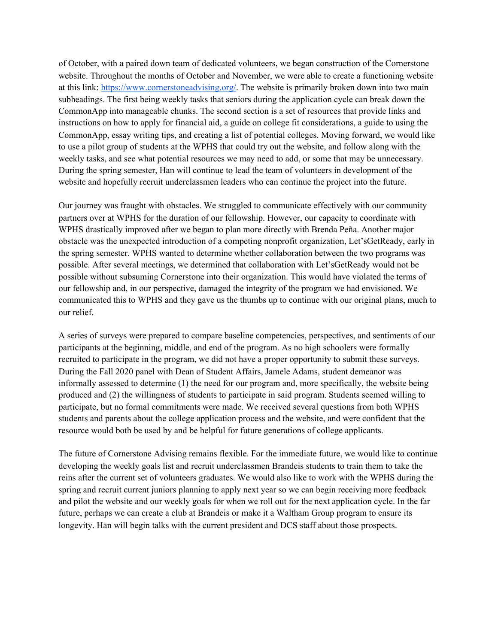of October, with a paired down team of dedicated volunteers, we began construction of the Cornerstone website. Throughout the months of October and November, we were able to create a functioning website at this link: <https://www.cornerstoneadvising.org/>. The website is primarily broken down into two main subheadings. The first being weekly tasks that seniors during the application cycle can break down the CommonApp into manageable chunks. The second section is a set of resources that provide links and instructions on how to apply for financial aid, a guide on college fit considerations, a guide to using the CommonApp, essay writing tips, and creating a list of potential colleges. Moving forward, we would like to use a pilot group of students at the WPHS that could try out the website, and follow along with the weekly tasks, and see what potential resources we may need to add, or some that may be unnecessary. During the spring semester, Han will continue to lead the team of volunteers in development of the website and hopefully recruit underclassmen leaders who can continue the project into the future.

Our journey was fraught with obstacles. We struggled to communicate effectively with our community partners over at WPHS for the duration of our fellowship. However, our capacity to coordinate with WPHS drastically improved after we began to plan more directly with Brenda Peña. Another major obstacle was the unexpected introduction of a competing nonprofit organization, Let'sGetReady, early in the spring semester. WPHS wanted to determine whether collaboration between the two programs was possible. After several meetings, we determined that collaboration with Let'sGetReady would not be possible without subsuming Cornerstone into their organization. This would have violated the terms of our fellowship and, in our perspective, damaged the integrity of the program we had envisioned. We communicated this to WPHS and they gave us the thumbs up to continue with our original plans, much to our relief.

A series of surveys were prepared to compare baseline competencies, perspectives, and sentiments of our participants at the beginning, middle, and end of the program. As no high schoolers were formally recruited to participate in the program, we did not have a proper opportunity to submit these surveys. During the Fall 2020 panel with Dean of Student Affairs, Jamele Adams, student demeanor was informally assessed to determine (1) the need for our program and, more specifically, the website being produced and (2) the willingness of students to participate in said program. Students seemed willing to participate, but no formal commitments were made. We received several questions from both WPHS students and parents about the college application process and the website, and were confident that the resource would both be used by and be helpful for future generations of college applicants.

The future of Cornerstone Advising remains flexible. For the immediate future, we would like to continue developing the weekly goals list and recruit underclassmen Brandeis students to train them to take the reins after the current set of volunteers graduates. We would also like to work with the WPHS during the spring and recruit current juniors planning to apply next year so we can begin receiving more feedback and pilot the website and our weekly goals for when we roll out for the next application cycle. In the far future, perhaps we can create a club at Brandeis or make it a Waltham Group program to ensure its longevity. Han will begin talks with the current president and DCS staff about those prospects.